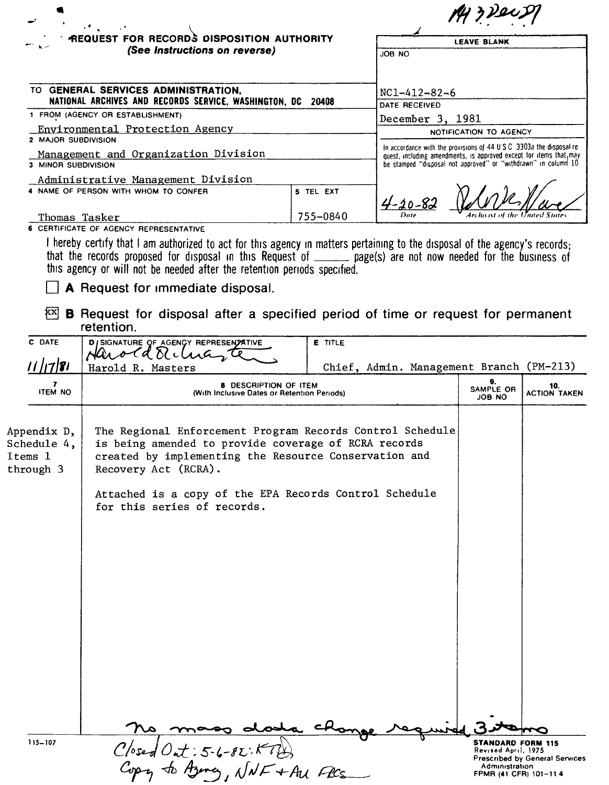| <b><i>Committee Committee</i></b><br><b>REQUEST FOR RECORDS DISPOSITION AUTHORITY</b><br>(See Instructions on reverse)                    |           | <b>LEAVE BLANK</b>                                                                  |  |  |
|-------------------------------------------------------------------------------------------------------------------------------------------|-----------|-------------------------------------------------------------------------------------|--|--|
|                                                                                                                                           |           | JOB NO                                                                              |  |  |
| TO GENERAL SERVICES ADMINISTRATION,<br>NATIONAL ARCHIVES AND RECORDS SERVICE, WASHINGTON, DC<br>20408<br>1 FROM (AGENCY OR ESTABLISHMENT) |           | $NC1 - 412 - 82 - 6$<br>DATE RECEIVED<br>December 3, 1981<br>NOTIFICATION TO AGENCY |  |  |
|                                                                                                                                           |           |                                                                                     |  |  |
| 2 MAJOR SUBDIVISION<br>Management and Organization Division<br>3 MINOR SUBDIVISION                                                        |           |                                                                                     |  |  |
| Administrative Management Division                                                                                                        |           |                                                                                     |  |  |
| 4 NAME OF PERSON WITH WHOM TO CONFER                                                                                                      | 5 TEL EXT | $4 - 20 - 82$                                                                       |  |  |
| Thomas Tasker                                                                                                                             | 755-0840  | Date<br>Archivist of the United States                                              |  |  |

that the records proposed for disposal In thrs Request of page(s) are not now needed for the business of thrs agency or will not be needed after the retention periods specified.

## $\Box$  A Request for immediate disposal.

 $\overline{23}$  B Request for disposal after a specified period of time or request for permanent retention.

| C DATE                                             | DISIGNATURE OF AGENCY REPRESENTATIVE<br>Harold Tichna, te                                                                                                                                                                                                                                   | E TITLE                                  |                                                                   |                                |
|----------------------------------------------------|---------------------------------------------------------------------------------------------------------------------------------------------------------------------------------------------------------------------------------------------------------------------------------------------|------------------------------------------|-------------------------------------------------------------------|--------------------------------|
| 1   17   8                                         | Harold R. Masters                                                                                                                                                                                                                                                                           | Chief, Admin. Management Branch (PM-213) |                                                                   |                                |
| 7<br><b>ITEM NO</b>                                | <b>8 DESCRIPTION OF ITEM</b><br>(With Inclusive Dates or Retention Periods)                                                                                                                                                                                                                 |                                          | 9.<br>SAMPLE OR<br><b>JOB NO</b>                                  | 10.<br><b>ACTION TAKEN</b>     |
| Appendix D,<br>Schedule 4,<br>Items 1<br>through 3 | The Regional Enforcement Program Records Control Schedule<br>is being amended to provide coverage of RCRA records<br>created by implementing the Resource Conservation and<br>Recovery Act (RCRA).<br>Attached is a copy of the EPA Records Control Schedule<br>for this series of records. |                                          |                                                                   |                                |
|                                                    | osha.                                                                                                                                                                                                                                                                                       | $C_{\mathcal{H}_{\mathbf{G}}}$           |                                                                   |                                |
| 115-107                                            | $C/$ osed Out: 5-6-82: $K$<br>Copy to Azency, NNF + Au FlCs                                                                                                                                                                                                                                 |                                          | <b>STANDARD FORM 115</b><br>Revised April, 1975<br>Administration | Prescribed by General Services |
|                                                    |                                                                                                                                                                                                                                                                                             |                                          | FPMR (41 CFR) 101-114                                             |                                |